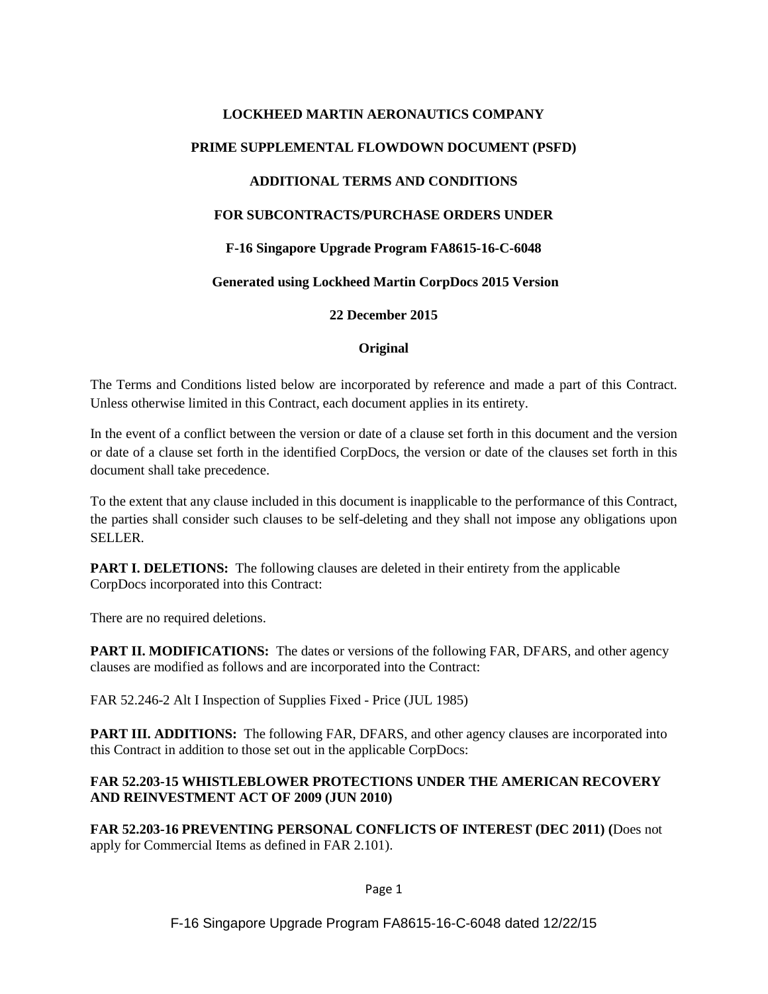# **LOCKHEED MARTIN AERONAUTICS COMPANY PRIME SUPPLEMENTAL FLOWDOWN DOCUMENT (PSFD) ADDITIONAL TERMS AND CONDITIONS FOR SUBCONTRACTS/PURCHASE ORDERS UNDER F-16 Singapore Upgrade Program FA8615-16-C-6048**

#### **Generated using Lockheed Martin CorpDocs 2015 Version**

**22 December 2015**

#### **Original**

The Terms and Conditions listed below are incorporated by reference and made a part of this Contract. Unless otherwise limited in this Contract, each document applies in its entirety.

In the event of a conflict between the version or date of a clause set forth in this document and the version or date of a clause set forth in the identified CorpDocs, the version or date of the clauses set forth in this document shall take precedence.

To the extent that any clause included in this document is inapplicable to the performance of this Contract, the parties shall consider such clauses to be self-deleting and they shall not impose any obligations upon SELLER.

**PART I. DELETIONS:** The following clauses are deleted in their entirety from the applicable CorpDocs incorporated into this Contract:

There are no required deletions.

**PART II. MODIFICATIONS:** The dates or versions of the following FAR, DFARS, and other agency clauses are modified as follows and are incorporated into the Contract:

FAR 52.246-2 Alt I Inspection of Supplies Fixed - Price (JUL 1985)

**PART III. ADDITIONS:** The following FAR, DFARS, and other agency clauses are incorporated into this Contract in addition to those set out in the applicable CorpDocs:

## **FAR 52.203-15 WHISTLEBLOWER PROTECTIONS UNDER THE AMERICAN RECOVERY AND REINVESTMENT ACT OF 2009 (JUN 2010)**

**FAR 52.203-16 PREVENTING PERSONAL CONFLICTS OF INTEREST (DEC 2011) (**Does not apply for Commercial Items as defined in FAR 2.101).

Page 1

F-16 Singapore Upgrade Program FA8615-16-C-6048 dated 12/22/15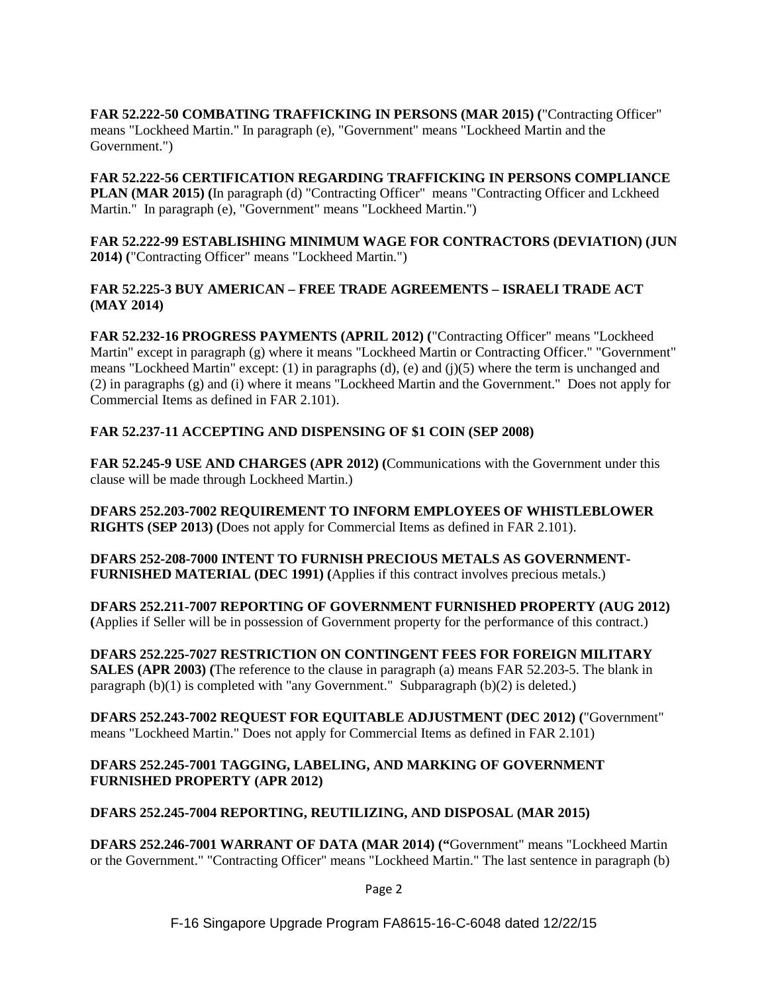**FAR 52.222-50 COMBATING TRAFFICKING IN PERSONS (MAR 2015) (**"Contracting Officer" means "Lockheed Martin." In paragraph (e), "Government" means "Lockheed Martin and the Government.")

**FAR 52.222-56 CERTIFICATION REGARDING TRAFFICKING IN PERSONS COMPLIANCE PLAN (MAR 2015) (**In paragraph (d) "Contracting Officer" means "Contracting Officer and Lckheed Martin." In paragraph (e), "Government" means "Lockheed Martin.")

**FAR 52.222-99 ESTABLISHING MINIMUM WAGE FOR CONTRACTORS (DEVIATION) (JUN 2014) (**"Contracting Officer" means "Lockheed Martin.")

#### **FAR 52.225-3 BUY AMERICAN – FREE TRADE AGREEMENTS – ISRAELI TRADE ACT (MAY 2014)**

**FAR 52.232-16 PROGRESS PAYMENTS (APRIL 2012) (**"Contracting Officer" means "Lockheed Martin" except in paragraph (g) where it means "Lockheed Martin or Contracting Officer." "Government" means "Lockheed Martin" except: (1) in paragraphs (d), (e) and (j)(5) where the term is unchanged and (2) in paragraphs (g) and (i) where it means "Lockheed Martin and the Government." Does not apply for Commercial Items as defined in FAR 2.101).

## **FAR 52.237-11 ACCEPTING AND DISPENSING OF \$1 COIN (SEP 2008)**

**FAR 52.245-9 USE AND CHARGES (APR 2012) (**Communications with the Government under this clause will be made through Lockheed Martin.)

**DFARS 252.203-7002 REQUIREMENT TO INFORM EMPLOYEES OF WHISTLEBLOWER RIGHTS (SEP 2013) (**Does not apply for Commercial Items as defined in FAR 2.101).

**DFARS 252-208-7000 INTENT TO FURNISH PRECIOUS METALS AS GOVERNMENT-FURNISHED MATERIAL (DEC 1991) (**Applies if this contract involves precious metals.)

**DFARS 252.211-7007 REPORTING OF GOVERNMENT FURNISHED PROPERTY (AUG 2012) (**Applies if Seller will be in possession of Government property for the performance of this contract.)

**DFARS 252.225-7027 RESTRICTION ON CONTINGENT FEES FOR FOREIGN MILITARY SALES (APR 2003) (**The reference to the clause in paragraph (a) means FAR 52.203-5. The blank in paragraph  $(b)(1)$  is completed with "any Government." Subparagraph  $(b)(2)$  is deleted.)

**DFARS 252.243-7002 REQUEST FOR EQUITABLE ADJUSTMENT (DEC 2012) (**"Government" means "Lockheed Martin." Does not apply for Commercial Items as defined in FAR 2.101)

#### **DFARS 252.245-7001 TAGGING, LABELING, AND MARKING OF GOVERNMENT FURNISHED PROPERTY (APR 2012)**

## **DFARS 252.245-7004 REPORTING, REUTILIZING, AND DISPOSAL (MAR 2015)**

**DFARS 252.246-7001 WARRANT OF DATA (MAR 2014) ("**Government" means "Lockheed Martin or the Government." "Contracting Officer" means "Lockheed Martin." The last sentence in paragraph (b)

Page 2

F-16 Singapore Upgrade Program FA8615-16-C-6048 dated 12/22/15